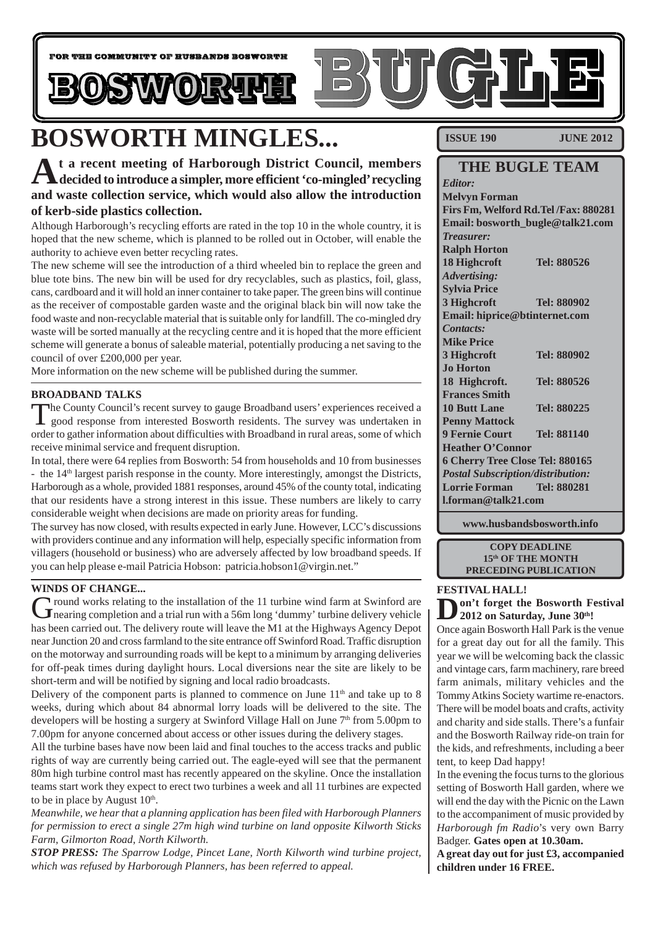

## **BOSWORTH MINGLES...**

**At a recent meeting of Harborough District Council, members decided to introduce a simpler, more efficient 'co-mingled' recycling and waste collection service, which would also allow the introduction of kerb-side plastics collection.**

Although Harborough's recycling efforts are rated in the top 10 in the whole country, it is hoped that the new scheme, which is planned to be rolled out in October, will enable the authority to achieve even better recycling rates.

The new scheme will see the introduction of a third wheeled bin to replace the green and blue tote bins. The new bin will be used for dry recyclables, such as plastics, foil, glass, cans, cardboard and it will hold an inner container to take paper. The green bins will continue as the receiver of compostable garden waste and the original black bin will now take the food waste and non-recyclable material that is suitable only for landfill. The co-mingled dry waste will be sorted manually at the recycling centre and it is hoped that the more efficient scheme will generate a bonus of saleable material, potentially producing a net saving to the council of over £200,000 per year.

More information on the new scheme will be published during the summer.

#### **BROADBAND TALKS**

The County Council's recent survey to gauge Broadband users' experiences received a good response from interested Bosworth residents. The survey was undertaken in order to gather information about difficulties with Broadband in rural areas, some of which receive minimal service and frequent disruption.

In total, there were 64 replies from Bosworth: 54 from households and 10 from businesses - the 14<sup>th</sup> largest parish response in the county. More interestingly, amongst the Districts, Harborough as a whole, provided 1881 responses, around 45% of the county total, indicating that our residents have a strong interest in this issue. These numbers are likely to carry considerable weight when decisions are made on priority areas for funding.

The survey has now closed, with results expected in early June. However, LCC's discussions with providers continue and any information will help, especially specific information from villagers (household or business) who are adversely affected by low broadband speeds. If you can help please e-mail Patricia Hobson: patricia.hobson1@virgin.net."

#### **WINDS OF CHANGE...**

Ground works relating to the installation of the 11 turbine wind farm at Swinford are<br>
Inearing completion and a trial run with a 56m long 'dummy' turbine delivery vehicle has been carried out. The delivery route will leave the M1 at the Highways Agency Depot near Junction 20 and cross farmland to the site entrance off Swinford Road. Traffic disruption on the motorway and surrounding roads will be kept to a minimum by arranging deliveries for off-peak times during daylight hours. Local diversions near the site are likely to be short-term and will be notified by signing and local radio broadcasts.

Delivery of the component parts is planned to commence on June  $11<sup>th</sup>$  and take up to 8 weeks, during which about 84 abnormal lorry loads will be delivered to the site. The developers will be hosting a surgery at Swinford Village Hall on June  $7<sup>th</sup>$  from 5.00pm to 7.00pm for anyone concerned about access or other issues during the delivery stages.

All the turbine bases have now been laid and final touches to the access tracks and public rights of way are currently being carried out. The eagle-eyed will see that the permanent 80m high turbine control mast has recently appeared on the skyline. Once the installation teams start work they expect to erect two turbines a week and all 11 turbines are expected to be in place by August  $10<sup>th</sup>$ .

*Meanwhile, we hear that a planning application has been filed with Harborough Planners for permission to erect a single 27m high wind turbine on land opposite Kilworth Sticks Farm, Gilmorton Road, North Kilworth.*

*STOP PRESS: The Sparrow Lodge, Pincet Lane, North Kilworth wind turbine project, which was refused by Harborough Planners, has been referred to appeal.*

**ISSUE 190 JUNE 2012** 

#### **THE BUGLE TEAM**

*Editor:* **Melvyn Forman Firs Fm, Welford Rd.Tel /Fax: 880281 Email: bosworth\_bugle@talk21.com** *Treasurer:* **Ralph Horton 18 Highcroft Tel: 880526** *Advertising:* **Sylvia Price 3 Highcroft Tel: 880902 Email: hiprice@btinternet.com** *Contacts:* **Mike Price 3 Highcroft Tel: 880902 Jo Horton 18 Highcroft. Tel: 880526 Frances Smith 10 Butt Lane Tel: 880225 Penny Mattock 9 Fernie Court Tel: 881140 Heather O'Connor 6 Cherry Tree Close Tel: 880165** *Postal Subscription/distribution:* **Lorrie Forman Tel: 880281 l.forman@talk21.com**

**www.husbandsbosworth.info**

**COPY DEADLINE 15th OF THE MONTH PRECEDING PUBLICATION**

#### **FESTIVAL HALL!**

**Don't forget the Bosworth Festival 2012 on Saturday, June 30th!** 

Once again Bosworth Hall Park is the venue for a great day out for all the family. This year we will be welcoming back the classic and vintage cars, farm machinery, rare breed farm animals, military vehicles and the Tommy Atkins Society wartime re-enactors. There will be model boats and crafts, activity and charity and side stalls. There's a funfair and the Bosworth Railway ride-on train for the kids, and refreshments, including a beer tent, to keep Dad happy!

In the evening the focus turns to the glorious setting of Bosworth Hall garden, where we will end the day with the Picnic on the Lawn to the accompaniment of music provided by *Harborough fm Radio*'s very own Barry Badger. **Gates open at 10.30am.**

**A great day out for just £3, accompanied children under 16 FREE.**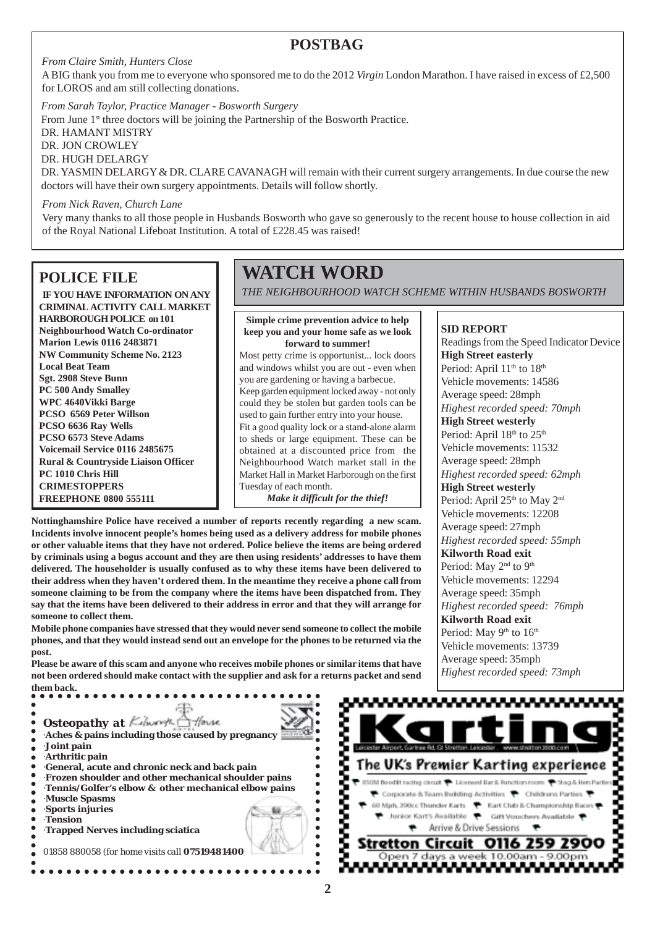$\bullet$ 

 $\bullet$ 

#### **POSTBAG**

*From Claire Smith, Hunters Close*

A BIG thank you from me to everyone who sponsored me to do the 2012 *Virgin* London Marathon. I have raised in excess of £2,500 for LOROS and am still collecting donations.

*From Sarah Taylor, Practice Manager - Bosworth Surgery* From June 1<sup>st</sup> three doctors will be joining the Partnership of the Bosworth Practice. DR. HAMANT MISTRY DR. JON CROWLEY DR. HUGH DELARGY DR. YASMIN DELARGY & DR. CLARE CAVANAGH will remain with their current surgery arrangements. In due course the new doctors will have their own surgery appointments. Details will follow shortly.

*From Nick Raven, Church Lane*

Very many thanks to all those people in Husbands Bosworth who gave so generously to the recent house to house collection in aid of the Royal National Lifeboat Institution. A total of £228.45 was raised!

#### **POLICE FILE**

**IF YOU HAVE INFORMATION ON ANY CRIMINAL ACTIVITY CALL MARKET HARBOROUGH POLICE on 101 Neighbourhood Watch Co-ordinator Marion Lewis 0116 2483871 NW Community Scheme No. 2123 Local Beat Team Sgt. 2908 Steve Bunn PC 500 Andy Smalley WPC 4640Vikki Barge PCSO 6569 Peter Willson PCSO 6636 Ray Wells PCSO 6573 Steve Adams Voicemail Service 0116 2485675 Rural & Countryside Liaison Officer PC 1010 Chris Hill CRIMESTOPPERS FREEPHONE 0800 555111**

## **WATCH WORD**

*THE NEIGHBOURHOOD WATCH SCHEME WITHIN HUSBANDS BOSWORTH*

**Simple crime prevention advice to help keep you and your home safe as we look forward to summer!**

Most petty crime is opportunist... lock doors and windows whilst you are out - even when you are gardening or having a barbecue. Keep garden equipment locked away - not only could they be stolen but garden tools can be used to gain further entry into your house. Fit a good quality lock or a stand-alone alarm to sheds or large equipment. These can be obtained at a discounted price from the Neighbourhood Watch market stall in the Market Hall in Market Harborough on the first Tuesday of each month.

*Make it difficult for the thief!*

**Nottinghamshire Police have received a number of reports recently regarding a new scam. Incidents involve innocent people's homes being used as a delivery address for mobile phones or other valuable items that they have not ordered. Police believe the items are being ordered by criminals using a bogus account and they are then using residents' addresses to have them delivered. The householder is usually confused as to why these items have been delivered to their address when they haven't ordered them. In the meantime they receive a phone call from someone claiming to be from the company where the items have been dispatched from. They say that the items have been delivered to their address in error and that they will arrange for someone to collect them.**

**Mobile phone companies have stressed that they would never send someone to collect the mobile phones, and that they would instead send out an envelope for the phones to be returned via the post.**

**Please be aware of this scam and anyone who receives mobile phones or similar items that have not been ordered should make contact with the supplier and ask for a returns packet and send them back.**

- ·**Tension**
- ·**Trapped Nerves including sciatica**
- 01858 880058 *(for home visits call 07519481400)*



**SID REPORT** Readings from the Speed Indicator Device **High Street easterly** Period: April 11<sup>th</sup> to 18<sup>th</sup> Vehicle movements: 14586 Average speed: 28mph *Highest recorded speed: 70mph* **High Street westerly** Period: April 18<sup>th</sup> to 25<sup>th</sup> Vehicle movements: 11532 Average speed: 28mph *Highest recorded speed: 62mph* **High Street westerly** Period: April 25<sup>th</sup> to May 2<sup>nd</sup> Vehicle movements: 12208 Average speed: 27mph *Highest recorded speed: 55mph* **Kilworth Road exit** Period: May 2<sup>nd</sup> to 9<sup>th</sup> Vehicle movements: 12294 Average speed: 35mph *Highest recorded speed: 76mph* **Kilworth Road exit** Period: May 9<sup>th</sup> to 16<sup>th</sup>

Vehicle movements: 13739 Average speed: 35mph *Highest recorded speed: 73mph*

*Osteopathy at Kilwerth* House  $\bullet$ ·**Aches & pains including those caused by pregnancy** ·**Joint pain** ·**Arthritic pain** ·**General, acute and chronic neck and back pain** ·**Frozen shoulder and other mechanical shoulder pains** ·**Tennis/Golfer's elbow & other mechanical elbow pains** ·**Muscle Spasms** ·**Sports injuries**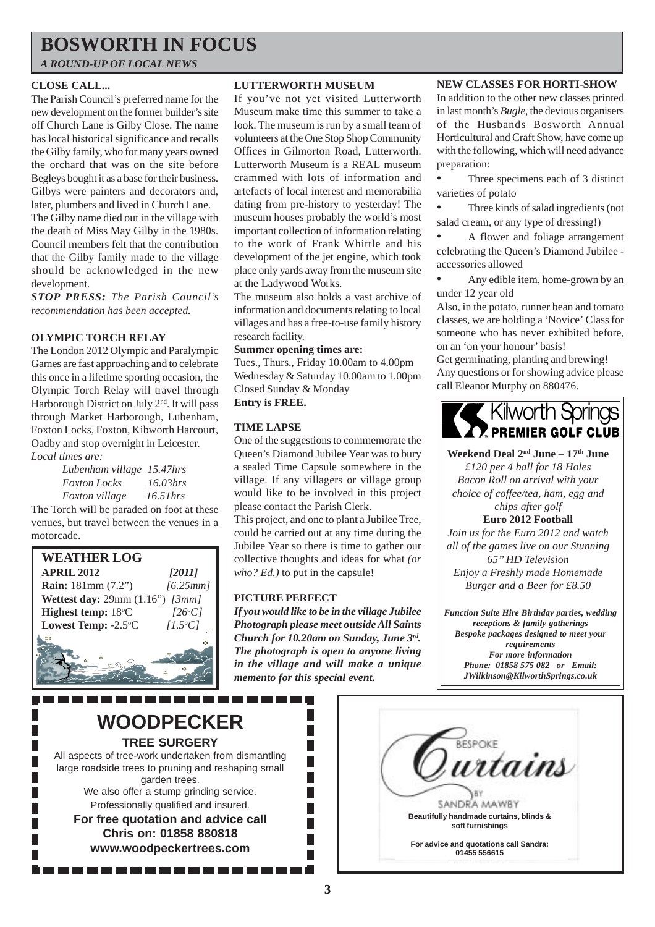## **BOSWORTH IN FOCUS**

*A ROUND-UP OF LOCAL NEWS*

#### **CLOSE CALL...**

The Parish Council's preferred name for the new development on the former builder's site off Church Lane is Gilby Close. The name has local historical significance and recalls the Gilby family, who for many years owned the orchard that was on the site before Begleys bought it as a base for their business. Gilbys were painters and decorators and, later, plumbers and lived in Church Lane.

The Gilby name died out in the village with the death of Miss May Gilby in the 1980s. Council members felt that the contribution that the Gilby family made to the village should be acknowledged in the new development.

*STOP PRESS: The Parish Council's recommendation has been accepted.*

#### **OLYMPIC TORCH RELAY**

The London 2012 Olympic and Paralympic Games are fast approaching and to celebrate this once in a lifetime sporting occasion, the Olympic Torch Relay will travel through Harborough District on July 2<sup>nd</sup>. It will pass through Market Harborough, Lubenham, Foxton Locks, Foxton, Kibworth Harcourt, Oadby and stop overnight in Leicester. *Local times are:*

> *Lubenham village 15.47hrs Foxton Locks 16.03hrs Foxton village 16.51hrs*

The Torch will be paraded on foot at these venues, but travel between the venues in a motorcade.



#### **LUTTERWORTH MUSEUM**

If you've not yet visited Lutterworth Museum make time this summer to take a look. The museum is run by a small team of volunteers at the One Stop Shop Community Offices in Gilmorton Road, Lutterworth. Lutterworth Museum is a REAL museum crammed with lots of information and artefacts of local interest and memorabilia dating from pre-history to yesterday! The museum houses probably the world's most important collection of information relating to the work of Frank Whittle and his development of the jet engine, which took place only yards away from the museum site at the Ladywood Works.

The museum also holds a vast archive of information and documents relating to local villages and has a free-to-use family history research facility.

#### **Summer opening times are:**

Tues., Thurs., Friday 10.00am to 4.00pm Wednesday & Saturday 10.00am to 1.00pm Closed Sunday & Monday **Entry is FREE.**

#### **TIME LAPSE**

One of the suggestions to commemorate the Queen's Diamond Jubilee Year was to bury a sealed Time Capsule somewhere in the village. If any villagers or village group would like to be involved in this project please contact the Parish Clerk.

This project, and one to plant a Jubilee Tree, could be carried out at any time during the Jubilee Year so there is time to gather our collective thoughts and ideas for what *(or who? Ed.)* to put in the capsule!

#### **PICTURE PERFECT**

*If you would like to be in the village Jubilee Photograph please meet outside All Saints Church for 10.20am on Sunday, June 3rd. The photograph is open to anyone living in the village and will make a unique memento for this special event.*

> П П

F  $\overline{\phantom{a}}$  $\overline{\phantom{a}}$ П

F.

#### **NEW CLASSES FOR HORTI-SHOW**

In addition to the other new classes printed in last month's *Bugle*, the devious organisers of the Husbands Bosworth Annual Horticultural and Craft Show, have come up with the following, which will need advance preparation:

Three specimens each of 3 distinct varieties of potato

• Three kinds of salad ingredients (not salad cream, or any type of dressing!)

• A flower and foliage arrangement celebrating the Queen's Diamond Jubilee accessories allowed

• Any edible item, home-grown by an under 12 year old

Also, in the potato, runner bean and tomato classes, we are holding a 'Novice' Class for someone who has never exhibited before, on an 'on your honour' basis!

Get germinating, planting and brewing! Any questions or for showing advice please call Eleanor Murphy on 880476.

## Kilworth Springs

Weekend Deal 2<sup>nd</sup> June – 17<sup>th</sup> June

*£120 per 4 ball for 18 Holes Bacon Roll on arrival with your choice of coffee/tea, ham, egg and chips after golf*

**Euro 2012 Football** *Join us for the Euro 2012 and watch all of the games live on our Stunning 65'' HD Television Enjoy a Freshly made Homemade Burger and a Beer for £8.50*

*Function Suite Hire Birthday parties, wedding receptions & family gatherings Bespoke packages designed to meet your requirements For more information Phone: 01858 575 082 or Email: JWilkinson@KilworthSprings.co.uk*



garden trees. We also offer a stump grinding service. Professionally qualified and insured.

**For free quotation and advice call Chris on: 01858 880818 www.woodpeckertrees.com**

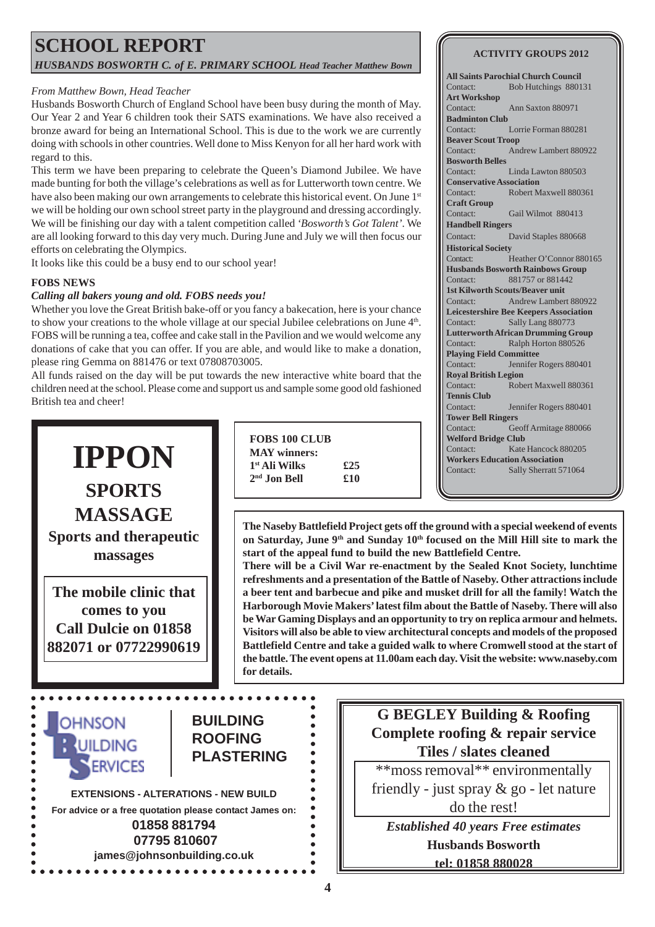### **SCHOOL REPORT** *HUSBANDS BOSWORTH C. of E. PRIMARY SCHOOL Head Teacher Matthew Bown*

#### *From Matthew Bown, Head Teacher*

Husbands Bosworth Church of England School have been busy during the month of May. Our Year 2 and Year 6 children took their SATS examinations. We have also received a bronze award for being an International School. This is due to the work we are currently doing with schools in other countries. Well done to Miss Kenyon for all her hard work with regard to this.

This term we have been preparing to celebrate the Queen's Diamond Jubilee. We have made bunting for both the village's celebrations as well as for Lutterworth town centre. We have also been making our own arrangements to celebrate this historical event. On June 1st we will be holding our own school street party in the playground and dressing accordingly. We will be finishing our day with a talent competition called *'Bosworth's Got Talent'*. We are all looking forward to this day very much. During June and July we will then focus our efforts on celebrating the Olympics.

It looks like this could be a busy end to our school year!

#### **FOBS NEWS**

#### *Calling all bakers young and old. FOBS needs you!*

**IPPON**

**SPORTS**

**MASSAGE**

**Sports and therapeutic massages**

**The mobile clinic that comes to you Call Dulcie on 01858 882071 or 07722990619**

Whether you love the Great British bake-off or you fancy a bakecation, here is your chance to show your creations to the whole village at our special Jubilee celebrations on June  $4<sup>th</sup>$ . FOBS will be running a tea, coffee and cake stall in the Pavilion and we would welcome any donations of cake that you can offer. If you are able, and would like to make a donation, please ring Gemma on 881476 or text 07808703005.

All funds raised on the day will be put towards the new interactive white board that the children need at the school. Please come and support us and sample some good old fashioned British tea and cheer!

> **FOBS 100 CLUB MAY winners: 1st Ali Wilks £25 2nd Jon Bell £10**

**ACTIVITY GROUPS 2012**

**All Saints Parochial Church Council** Contact: Bob Hutchings 880131 **Art Workshop** Contact: Ann Saxton 880971 **Badminton Club** Contact: Lorrie Forman 880281 **Beaver Scout Troop** Contact: Andrew Lambert 880922 **Bosworth Belles** Contact: Linda Lawton 880503 **Conservative Association** Contact: Robert Maxwell 880361 **Craft Group** Contact: Gail Wilmot 880413 **Handbell Ringers** Contact: David Staples 880668 **Historical Society** Contact: Heather O'Connor 880165 **Husbands Bosworth Rainbows Group** Contact: 881757 or 881442 **1st Kilworth Scouts/Beaver unit** Contact: Andrew Lambert 880922 **Leicestershire Bee Keepers Association** Contact: Sally Lang 880773 **Lutterworth African Drumming Group** Contact: Ralph Horton 880526 **Playing Field Committee** Contact: Jennifer Rogers 880401 **Royal British Legion** Contact: Robert Maxwell 880361 **Tennis Club** Contact: Jennifer Rogers 880401 **Tower Bell Ringers** Contact: Geoff Armitage 880066 **Welford Bridge Club** Contact: Kate Hancock 880205 **Workers Education Association** Contact: Sally Sherratt 571064

**The Naseby Battlefield Project gets off the ground with a special weekend of events on Saturday, June 9th and Sunday 10th focused on the Mill Hill site to mark the start of the appeal fund to build the new Battlefield Centre.**

**There will be a Civil War re-enactment by the Sealed Knot Society, lunchtime refreshments and a presentation of the Battle of Naseby. Other attractions include a beer tent and barbecue and pike and musket drill for all the family! Watch the Harborough Movie Makers' latest film about the Battle of Naseby. There will also be War Gaming Displays and an opportunity to try on replica armour and helmets. Visitors will also be able to view architectural concepts and models of the proposed Battlefield Centre and take a guided walk to where Cromwell stood at the start of the battle. The event opens at 11.00am each day. Visit the website: www.naseby.com for details.**



### **G BEGLEY Building & Roofing Complete roofing & repair service Tiles / slates cleaned**

\*\*moss removal\*\* environmentally

friendly - just spray & go - let nature do the rest!

*Established 40 years Free estimates* **Husbands Bosworth**

**tel: 01858 880028**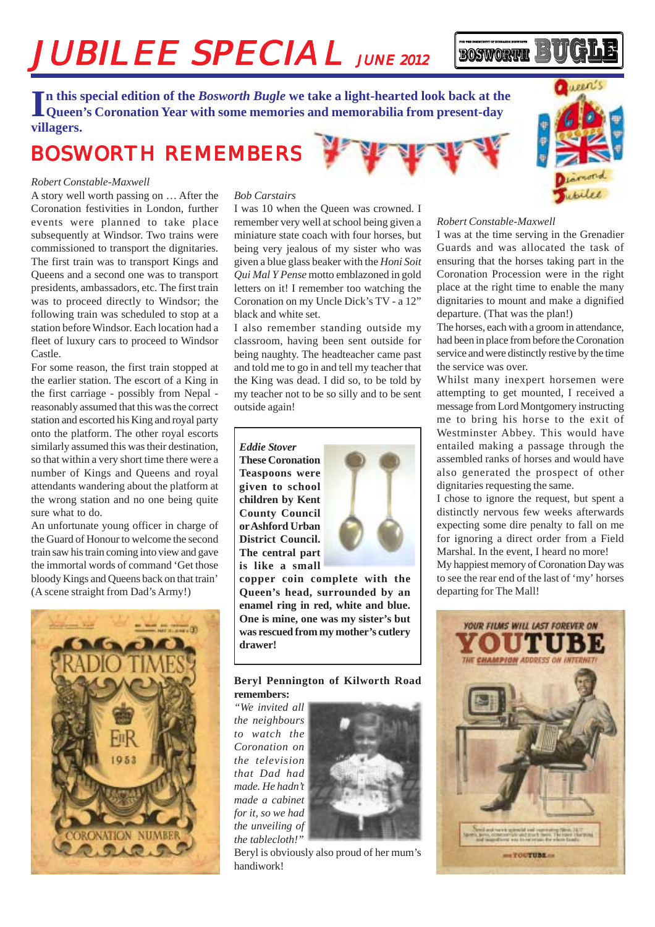# JUBILEE SPECIAL JUNE 2012

In this special edition of the *Bosworth Bugle* we take a light-hearted look back at the Queen's Coronation Year with some memories and memorabilia from present-day **Queen's Coronation Year with some memories and memorabilia from present-day villagers.**

## BOSWORTH REMEMBERS

#### *Robert Constable-Maxwell*

A story well worth passing on … After the Coronation festivities in London, further events were planned to take place subsequently at Windsor. Two trains were commissioned to transport the dignitaries. The first train was to transport Kings and Queens and a second one was to transport presidents, ambassadors, etc. The first train was to proceed directly to Windsor; the following train was scheduled to stop at a station before Windsor. Each location had a fleet of luxury cars to proceed to Windsor Castle.

For some reason, the first train stopped at the earlier station. The escort of a King in the first carriage - possibly from Nepal reasonably assumed that this was the correct station and escorted his King and royal party onto the platform. The other royal escorts similarly assumed this was their destination, so that within a very short time there were a number of Kings and Queens and royal attendants wandering about the platform at the wrong station and no one being quite sure what to do.

An unfortunate young officer in charge of the Guard of Honour to welcome the second train saw his train coming into view and gave the immortal words of command 'Get those bloody Kings and Queens back on that train' (A scene straight from Dad's Army!)



#### *Bob Carstairs*

I was 10 when the Queen was crowned. I remember very well at school being given a miniature state coach with four horses, but being very jealous of my sister who was given a blue glass beaker with the *Honi Soit Qui Mal Y Pense* motto emblazoned in gold letters on it! I remember too watching the Coronation on my Uncle Dick's TV - a 12" black and white set.

I also remember standing outside my classroom, having been sent outside for being naughty. The headteacher came past and told me to go in and tell my teacher that the King was dead. I did so, to be told by my teacher not to be so silly and to be sent outside again!

*Eddie Stover* **These Coronation Teaspoons were given to school children by Kent County Council or Ashford Urban District Council. The central part is like a small**



**copper coin complete with the Queen's head, surrounded by an enamel ring in red, white and blue. One is mine, one was my sister's but was rescued from my mother's cutlery drawer!**

#### **Beryl Pennington of Kilworth Road remembers:**

*"We invited all the neighbours to watch the Coronation on the television that Dad had made. He hadn't made a cabinet for it, so we had the unveiling of the tablecloth!"*



Beryl is obviously also proud of her mum's handiwork!



#### *Robert Constable-Maxwell*

**BOSWORTH** 

I was at the time serving in the Grenadier Guards and was allocated the task of ensuring that the horses taking part in the Coronation Procession were in the right place at the right time to enable the many dignitaries to mount and make a dignified departure. (That was the plan!)

The horses, each with a groom in attendance, had been in place from before the Coronation service and were distinctly restive by the time the service was over.

Whilst many inexpert horsemen were attempting to get mounted, I received a message from Lord Montgomery instructing me to bring his horse to the exit of Westminster Abbey. This would have entailed making a passage through the assembled ranks of horses and would have also generated the prospect of other dignitaries requesting the same.

I chose to ignore the request, but spent a distinctly nervous few weeks afterwards expecting some dire penalty to fall on me for ignoring a direct order from a Field Marshal. In the event, I heard no more! My happiest memory of Coronation Day was

to see the rear end of the last of 'my' horses departing for The Mall!

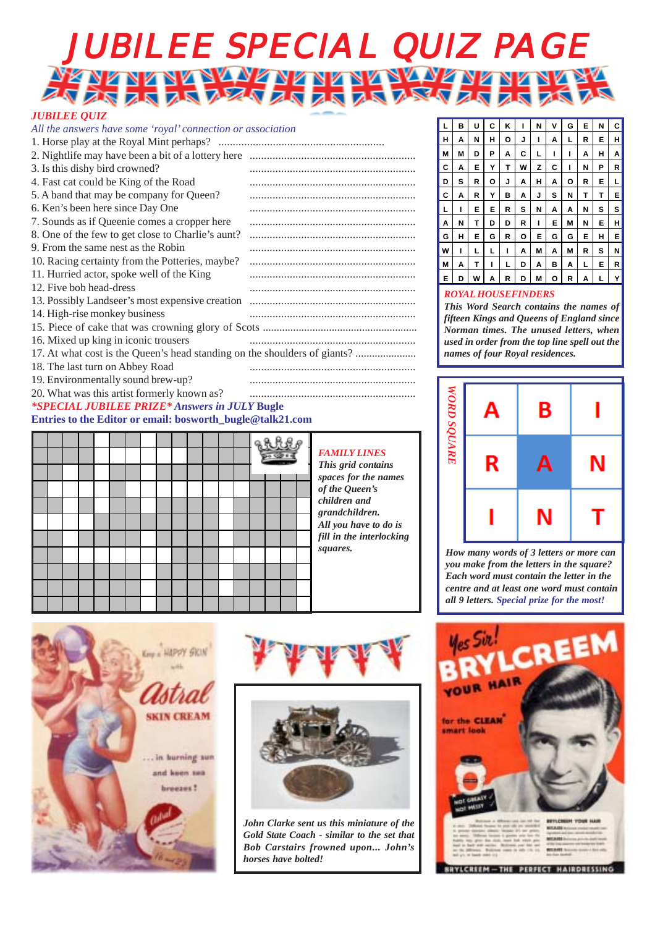# JUBILEE SPECIAL QUIZ PAGE HE HE HE HE HE HE HE HE HE

#### *JUBILEE QUIZ*

| All the answers have some 'royal' connection or association               |  |
|---------------------------------------------------------------------------|--|
|                                                                           |  |
|                                                                           |  |
| 3. Is this dishy bird crowned?                                            |  |
| 4. Fast cat could be King of the Road                                     |  |
| 5. A band that may be company for Queen?                                  |  |
| 6. Ken's been here since Day One                                          |  |
| 7. Sounds as if Queenie comes a cropper here                              |  |
| 8. One of the few to get close to Charlie's aunt?                         |  |
| 9. From the same nest as the Robin                                        |  |
| 10. Racing certainty from the Potteries, maybe?                           |  |
| 11. Hurried actor, spoke well of the King                                 |  |
| 12. Five bob head-dress                                                   |  |
|                                                                           |  |
| 14. High-rise monkey business                                             |  |
|                                                                           |  |
| 16. Mixed up king in iconic trousers                                      |  |
| 17. At what cost is the Queen's head standing on the shoulders of giants? |  |
| 18. The last turn on Abbey Road                                           |  |
| 19. Environmentally sound brew-up?                                        |  |
| 20. What was this artist formerly known as?                               |  |
| <i>*SPECIAL JUBILEE PRIZE* Answers in JULY Bugle</i>                      |  |
| Entries to the Editor or email: bosworth_bugle@talk21.com                 |  |

|  |  |  |  |  |  |  | $-9.9$ |  |  | l<br>$\overline{1}$<br>$\boldsymbol{S}$ |                   |
|--|--|--|--|--|--|--|--------|--|--|-----------------------------------------|-------------------|
|  |  |  |  |  |  |  |        |  |  |                                         | 0                 |
|  |  |  |  |  |  |  |        |  |  |                                         | $\mathcal C$<br>g |
|  |  |  |  |  |  |  |        |  |  |                                         | A.                |
|  |  |  |  |  |  |  |        |  |  |                                         | f                 |
|  |  |  |  |  |  |  |        |  |  |                                         | S                 |
|  |  |  |  |  |  |  |        |  |  |                                         |                   |
|  |  |  |  |  |  |  |        |  |  |                                         |                   |
|  |  |  |  |  |  |  |        |  |  |                                         |                   |

*FAMILY LINES This grid contains spaces for the names of the Queen's children and grandchildren. All you have to do is fill in the interlocking squares.*







*John Clarke sent us this miniature of the Gold State Coach - similar to the set that Bob Carstairs frowned upon... John's horses have bolted!*

| L | в | U | C | κ | ı | N | ٧ | G | Е | N | C |
|---|---|---|---|---|---|---|---|---|---|---|---|
| н | Α | N | н | О | J | ı | Α | L | R | Е | н |
| М | М | D | Р | Α | С | L | ı | ı | Α | н | Α |
| c | Α | Е | Y | Т | W | Z | c | ı | N | Р | R |
| D | s | R | о | J | Α | н | Α | o | R | Е | L |
| c | Α | R | Y | В | Α | J | s | Ν | Т | Т | Е |
| L | ı | Е | E | R | s | N | Α | Α | Ν | s | s |
| Α | N | Т | D | D | R | ı | E | Μ | N | Е | н |
| G | н | Е | G | R | О | Е | G | G | Е | н | Е |
| W | ı | L | L | ı | Α | Μ | Α | Μ | R | s | N |
| Μ | Α | Т | ı | L | D | Α | в | Α | L | Е | R |
| E | D | W | A | R | D | М | o | R | A | L | Y |
|   |   |   |   |   |   |   |   |   |   |   |   |

#### *ROYAL HOUSEFINDERS*

*This Word Search contains the names of fifteen Kings and Queens of England since Norman times. The unused letters, when used in order from the top line spell out the names of four Royal residences.*



*How many words of 3 letters or more can you make from the letters in the square? Each word must contain the letter in the centre and at least one word must contain all 9 letters. Special prize for the most!*

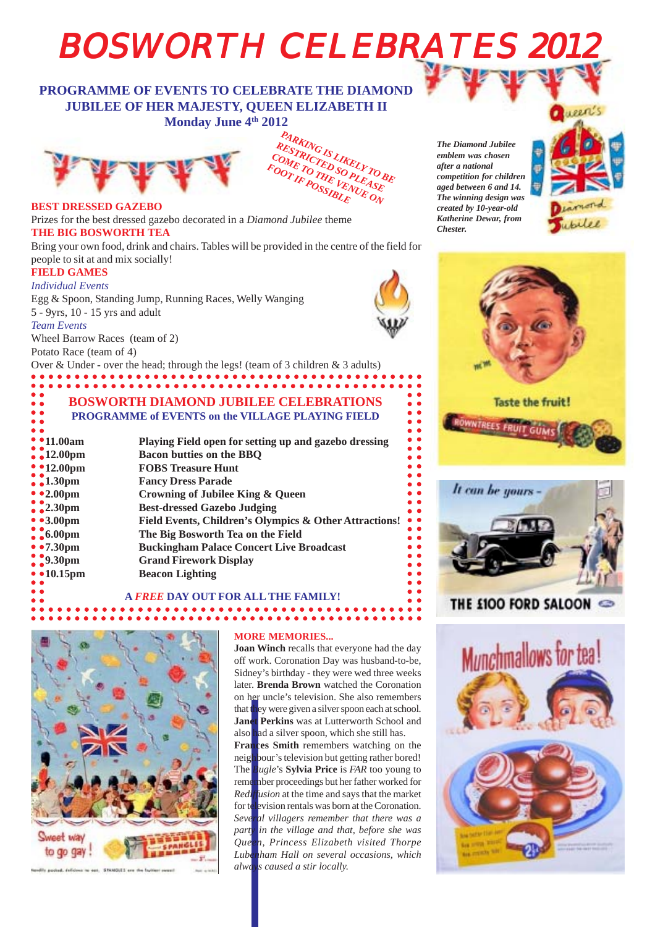# **BOSWORTH CELEBRATES 2012**

#### **PROGRAMME OF EVENTS TO CELEBRATE THE DIAMONI JUBILEE OF HER MAJESTY, QUEEN ELIZABETH II Monday June 4th 2012**





#### **BEST DRESSED GAZEBO**

Prizes for the best dressed gazebo decorated in a *Diamond Jubilee* theme **THE BIG BOSWORTH TEA**

Bring your own food, drink and chairs. Tables will be provided in the centre of the field for people to sit at and mix socially!

#### **FIELD GAMES**

Potato Race (team of 4)

*Individual Events* Egg & Spoon, Standing Jump, Running Races, Welly Wanging 5 - 9yrs, 10 - 15 yrs and adult *Team Events* Wheel Barrow Races (team of 2)



 $\bullet$ 

 $\bullet$  $\bullet$  $\bullet$  $\bullet$  $\bullet$  $\bullet$  $\bullet$ 

 $\bullet$ 

 $\bullet$  $\bullet$  $\bullet$  $\bullet$ 

*The Diamond Jubilee emblem was chosen after a national competition for children aged between 6 and 14. The winning design was created by 10-year-old Katherine Dewar, from Chester.*







### THE £100 FORD SALOON



**\*\*\*\*\*\*\*\*\*\* BOSWORTH DIAMOND JUBILEE CELEBRATIONS PROGRAMME of EVENTS on the VILLAGE PLAYING FIELD 11.00am Playing Field open for setting up and gazebo dressing 12.00pm Bacon butties on the BBQ 12.00pm FOBS Treasure Hunt 1.300 Fancy Dress Parade 2.00pm Crowning of Jubilee King & Queen Best-dressed Gazebo Judging 3.00pm Field Events, Children's Olympics & Other Attractions! 6.00pm The Big Bosworth Tea on the Field 7.30pm Buckingham Palace Concert Live Broadcast Grand Firework Display 10.15pm Beacon Lighting A** *FREE* **DAY OUT FOR ALL THE FAMILY!**

Over & Under - over the head; through the legs! (team of 3 children & 3 adults)

## 



#### **MORE MEMORIES...**

**Joan Winch** recalls that everyone had the day off work. Coronation Day was husband-to-be, Sidney's birthday - they were wed three weeks later. **Brenda Brown** watched the Coronation on her uncle's television. She also remembers that they were given a silver spoon each at school. **Janet Perkins** was at Lutterworth School and also had a silver spoon, which she still has. **Frances Smith** remembers watching on the neighbour's television but getting rather bored! The *Bugle*'s **Sylvia Price** is *FAR* too young to remember proceedings but her father worked for *Rediffusion* at the time and says that the market for television rentals was born at the Coronation. *Several villagers remember that there was a party in the village and that, before she was Queen, Princess Elizabeth visited Thorpe Lubenham Hall on several occasions, which always caused a stir locally.*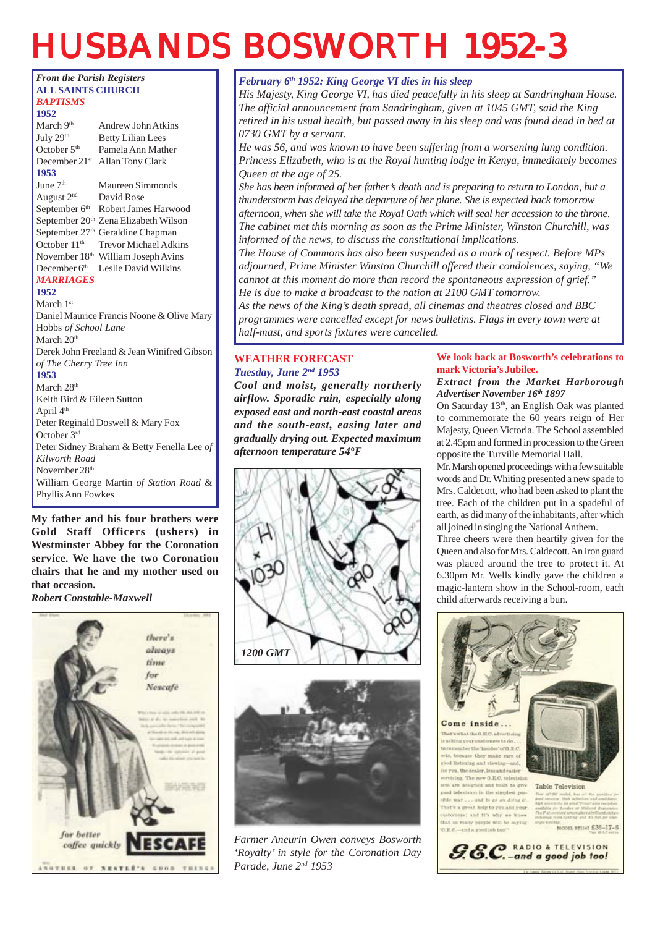## HUSBANDS BOSWORTH 1952-3



**Gold Staff Officers (ushers) in Westminster Abbey for the Coronation service. We have the two Coronation chairs that he and my mother used on that occasion.**

*Robert Constable-Maxwell*



*February 6th 1952: King George VI dies in his sleep*

*His Majesty, King George VI, has died peacefully in his sleep at Sandringham House. The official announcement from Sandringham, given at 1045 GMT, said the King retired in his usual health, but passed away in his sleep and was found dead in bed at 0730 GMT by a servant.*

*He was 56, and was known to have been suffering from a worsening lung condition. Princess Elizabeth, who is at the Royal hunting lodge in Kenya, immediately becomes Queen at the age of 25.*

*She has been informed of her father's death and is preparing to return to London, but a thunderstorm has delayed the departure of her plane. She is expected back tomorrow afternoon, when she will take the Royal Oath which will seal her accession to the throne. The cabinet met this morning as soon as the Prime Minister, Winston Churchill, was informed of the news, to discuss the constitutional implications.*

*The House of Commons has also been suspended as a mark of respect. Before MPs adjourned, Prime Minister Winston Churchill offered their condolences, saying, "We cannot at this moment do more than record the spontaneous expression of grief." He is due to make a broadcast to the nation at 2100 GMT tomorrow.*

*As the news of the King's death spread, all cinemas and theatres closed and BBC programmes were cancelled except for news bulletins. Flags in every town were at half-mast, and sports fixtures were cancelled.*

#### **WEATHER FORECAST** *Tuesday, June 2nd 1953*

*Cool and moist, generally northerly airflow. Sporadic rain, especially along exposed east and north-east coastal areas and the south-east, easing later and gradually drying out. Expected maximum afternoon temperature 54°F*





*Farmer Aneurin Owen conveys Bosworth 'Royalty' in style for the Coronation Day Parade, June 2nd 1953*

#### **We look back at Bosworth's celebrations to mark Victoria's Jubilee.**

#### *Extract from the Market Harborough Advertiser November 16th 1897*

On Saturday 13<sup>th</sup>, an English Oak was planted to commemorate the 60 years reign of Her Majesty, Queen Victoria. The School assembled at 2.45pm and formed in procession to the Green opposite the Turville Memorial Hall.

Mr. Marsh opened proceedings with a few suitable words and Dr. Whiting presented a new spade to Mrs. Caldecott, who had been asked to plant the tree. Each of the children put in a spadeful of earth, as did many of the inhabitants, after which all joined in singing the National Anthem.

Three cheers were then heartily given for the Queen and also for Mrs. Caldecott. An iron guard was placed around the tree to protect it. At 6.30pm Mr. Wells kindly gave the children a magic-lantern show in the School-room, each child afterwards receiving a bun.

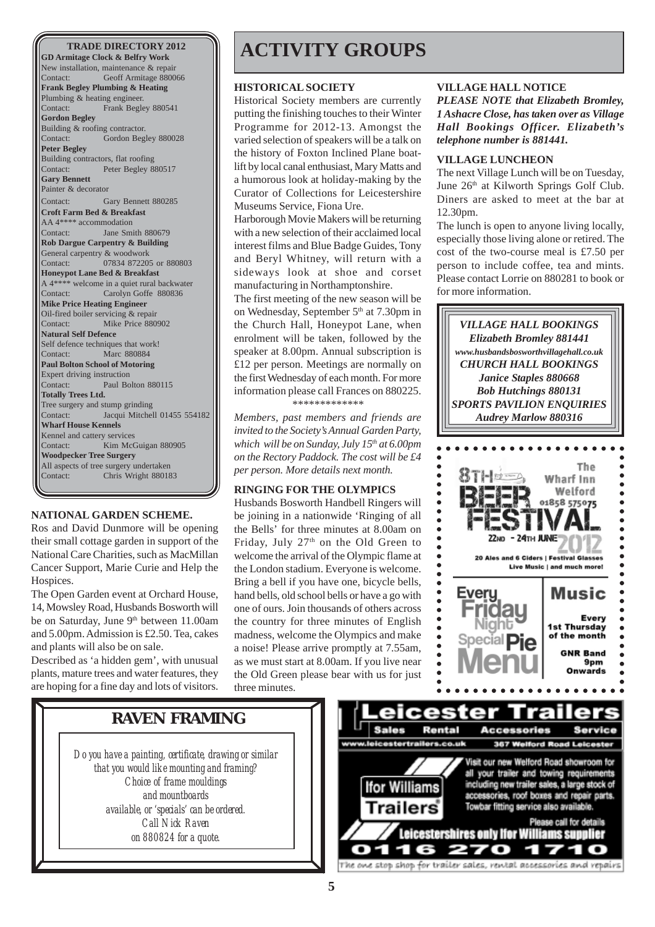**GD Armitage Clock & Belfry Work** New installation, maintenance & repair Contact: Geoff Armitage 880066 **Frank Begley Plumbing & Heating** Plumbing & heating engineer. Contact: Frank Begley 880541 **Gordon Begley** Building & roofing contractor. Contact: Gordon Begley 880028 **Peter Begley** Building contractors, flat roofing Contact: Peter Begley 880517 **Gary Bennett** Painter & decorator Contact: Gary Bennett 880285 **Croft Farm Bed & Breakfast** AA 4\*\*\*\* accommodation<br>Contact: Jane Sm Jane Smith 880679 **Rob Dargue Carpentry & Building** General carpentry & woodwork Contact: 07834 872205 or 880803 **Honeypot Lane Bed & Breakfast** A 4\*\*\*\* welcome in a quiet rural backwater Contact: Carolyn Goffe 880836 **Mike Price Heating Engineer** Oil-fired boiler servicing & repair Contact: Mike Price 880902 **Natural Self Defence** Self defence techniques that work! Contact: Marc 880884 **Paul Bolton School of Motoring** Expert driving instruction Contact: Paul Bolton 880115 **Totally Trees Ltd.** Tree surgery and stump grinding Contact: Jacqui Mitchell 01455 554182 **Wharf House Kennels** Kennel and cattery services Contact: Kim McGuigan 880905 **Woodpecker Tree Surgery** All aspects of tree surgery undertaken<br>Contact: Chris Wright 88018 Chris Wright 880183

#### **NATIONAL GARDEN SCHEME.**

Ros and David Dunmore will be opening their small cottage garden in support of the National Care Charities, such as MacMillan Cancer Support, Marie Curie and Help the Hospices.

The Open Garden event at Orchard House, 14, Mowsley Road, Husbands Bosworth will be on Saturday, June 9<sup>th</sup> between 11.00am and 5.00pm. Admission is £2.50. Tea, cakes and plants will also be on sale.

Described as 'a hidden gem', with unusual plants, mature trees and water features, they are hoping for a fine day and lots of visitors.

## **TRADE DIRECTORY 2012 ACTIVITY GROUPS**

#### **HISTORICAL SOCIETY**

Historical Society members are currently putting the finishing touches to their Winter Programme for 2012-13. Amongst the varied selection of speakers will be a talk on the history of Foxton Inclined Plane boatlift by local canal enthusiast, Mary Matts and a humorous look at holiday-making by the Curator of Collections for Leicestershire Museums Service, Fiona Ure.

Harborough Movie Makers will be returning with a new selection of their acclaimed local interest films and Blue Badge Guides, Tony and Beryl Whitney, will return with a sideways look at shoe and corset manufacturing in Northamptonshire.

The first meeting of the new season will be on Wednesday, September  $5<sup>th</sup>$  at 7.30pm in the Church Hall, Honeypot Lane, when enrolment will be taken, followed by the speaker at 8.00pm. Annual subscription is £12 per person. Meetings are normally on the first Wednesday of each month. For more information please call Frances on 880225.

*\*\*\*\*\*\*\*\*\*\*\*\*\**

*Members, past members and friends are invited to the Society's Annual Garden Party, which will be on Sunday, July 15th at 6.00pm on the Rectory Paddock. The cost will be £4 per person. More details next month.*

#### **RINGING FOR THE OLYMPICS**

Husbands Bosworth Handbell Ringers will be joining in a nationwide 'Ringing of all the Bells' for three minutes at 8.00am on Friday, July 27<sup>th</sup> on the Old Green to welcome the arrival of the Olympic flame at the London stadium. Everyone is welcome. Bring a bell if you have one, bicycle bells, hand bells, old school bells or have a go with one of ours. Join thousands of others across the country for three minutes of English madness, welcome the Olympics and make a noise! Please arrive promptly at 7.55am, as we must start at 8.00am. If you live near the Old Green please bear with us for just three minutes.

#### **VILLAGE HALL NOTICE**

*PLEASE NOTE that Elizabeth Bromley, 1 Ashacre Close, has taken over as Village Hall Bookings Officer. Elizabeth's telephone number is 881441.*

#### **VILLAGE LUNCHEON**

The next Village Lunch will be on Tuesday, June 26<sup>th</sup> at Kilworth Springs Golf Club. Diners are asked to meet at the bar at 12.30pm.

The lunch is open to anyone living locally, especially those living alone or retired. The cost of the two-course meal is £7.50 per person to include coffee, tea and mints. Please contact Lorrie on 880281 to book or for more information.



### **RAVEN FRAMING**

*Do you have a painting, certificate, drawing or similar that you would like mounting and framing? Choice of frame mouldings and mountboards available, or 'specials' can be ordered. Call Nick Raven on 880824 for a quote.*

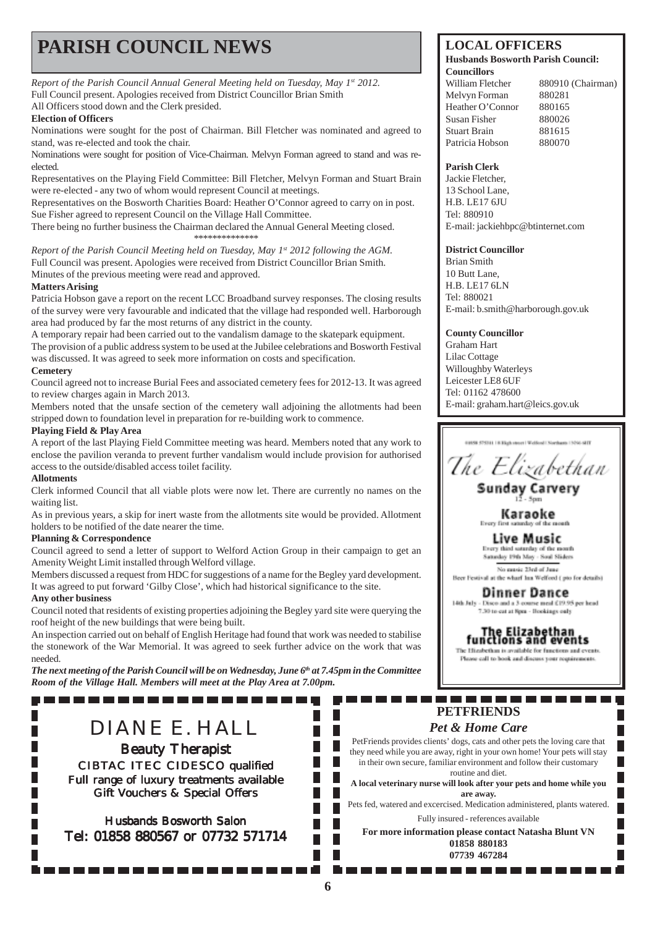## **PARISH COUNCIL NEWS** LOCAL OFFICERS

*Report of the Parish Council Annual General Meeting held on Tuesday, May 1st 2012.* Full Council present. Apologies received from District Councillor Brian Smith All Officers stood down and the Clerk presided.

#### **Election of Officers**

Nominations were sought for the post of Chairman. Bill Fletcher was nominated and agreed to stand, was re-elected and took the chair.

Nominations were sought for position of Vice-Chairman. Melvyn Forman agreed to stand and was reelected.

Representatives on the Playing Field Committee: Bill Fletcher, Melvyn Forman and Stuart Brain were re-elected - any two of whom would represent Council at meetings.

Representatives on the Bosworth Charities Board: Heather O'Connor agreed to carry on in post. Sue Fisher agreed to represent Council on the Village Hall Committee.

There being no further business the Chairman declared the Annual General Meeting closed. \*\*\*\*\*\*\*\*\*\*\*\*\*\*

*Report of the Parish Council Meeting held on Tuesday, May 1st 2012 following the AGM.* Full Council was present. Apologies were received from District Councillor Brian Smith. Minutes of the previous meeting were read and approved.

#### **Matters Arising**

Patricia Hobson gave a report on the recent LCC Broadband survey responses. The closing results of the survey were very favourable and indicated that the village had responded well. Harborough area had produced by far the most returns of any district in the county.

A temporary repair had been carried out to the vandalism damage to the skatepark equipment. The provision of a public address system to be used at the Jubilee celebrations and Bosworth Festival was discussed. It was agreed to seek more information on costs and specification. **Cemetery**

#### Council agreed not to increase Burial Fees and associated cemetery fees for 2012-13. It was agreed to review charges again in March 2013.

Members noted that the unsafe section of the cemetery wall adjoining the allotments had been stripped down to foundation level in preparation for re-building work to commence.

#### **Playing Field & Play Area**

A report of the last Playing Field Committee meeting was heard. Members noted that any work to enclose the pavilion veranda to prevent further vandalism would include provision for authorised access to the outside/disabled access toilet facility.

#### **Allotments**

П

П

Clerk informed Council that all viable plots were now let. There are currently no names on the waiting list.

As in previous years, a skip for inert waste from the allotments site would be provided. Allotment holders to be notified of the date nearer the time.

#### **Planning & Correspondence**

Council agreed to send a letter of support to Welford Action Group in their campaign to get an Amenity Weight Limit installed through Welford village.

Members discussed a request from HDC for suggestions of a name for the Begley yard development. It was agreed to put forward 'Gilby Close', which had historical significance to the site. **Any other business**

Council noted that residents of existing properties adjoining the Begley yard site were querying the roof height of the new buildings that were being built.

An inspection carried out on behalf of English Heritage had found that work was needed to stabilise the stonework of the War Memorial. It was agreed to seek further advice on the work that was needed.

*The next meeting of the Parish Council will be on Wednesday, June 6th at 7.45pm in the Committee Room of the Village Hall. Members will meet at the Play Area at 7.00pm.*

DIANE E. HALL

---------------

**Beauty Therapist** CIBTAC ITEC CIDESCO qualified Full range of luxury treatments available Gift Vouchers & Special Offers

Husbands Bosworth Salon Tel: 01858 880567 or 07732 571714

#### **Husbands Bosworth Parish Council: Councillors**

William Fletcher 880910 (Chairman) Melvyn Forman 880281 Heather O'Connor 880165 Susan Fisher 880026 Stuart Brain 881615 Patricia Hobson 880070

#### **Parish Clerk**

Jackie Fletcher, 13 School Lane, H.B. LE17 6JU Tel: 880910 E-mail: jackiehbpc@btinternet.com

#### **District Councillor**

Brian Smith 10 Butt Lane, H.B. LE17 6LN Tel: 880021 E-mail: b.smith@harborough.gov.uk

**County Councillor** Graham Hart

Lilac Cottage Willoughby Waterleys Leicester LE8 6UF Tel: 01162 478600 E-mail: graham.hart@leics.gov.uk

The Elizabethan

**Sunday Carvery**  $-5$ com

Karaoke

Live Music Every third saturday of the mouth<br>Saturday 19th May - Soul Sliders

No music 23rd of June Beer Festival at the wharf has Welford ( nto for details)

Dinner Dance 14th July - Disco and a 3-course meal £19.95 per head 7.30 to cut at Spra - Hookings only

The Elizabethan<br>functions and events

The Higglection is available for functions and events. Please call to book and discuss your requirements.

П

#### --------. . . . . -------**PETFRIENDS**

#### *Pet & Home Care*

PetFriends provides clients' dogs, cats and other pets the loving care that they need while you are away, right in your own home! Your pets will stay in their own secure, familiar environment and follow their customary routine and diet.

**A local veterinary nurse will look after your pets and home while you are away.**

Pets fed, watered and excercised. Medication administered, plants watered. Fully insured - references available

**For more information please contact Natasha Blunt VN 01858 880183 07739 467284**

г

г П

Г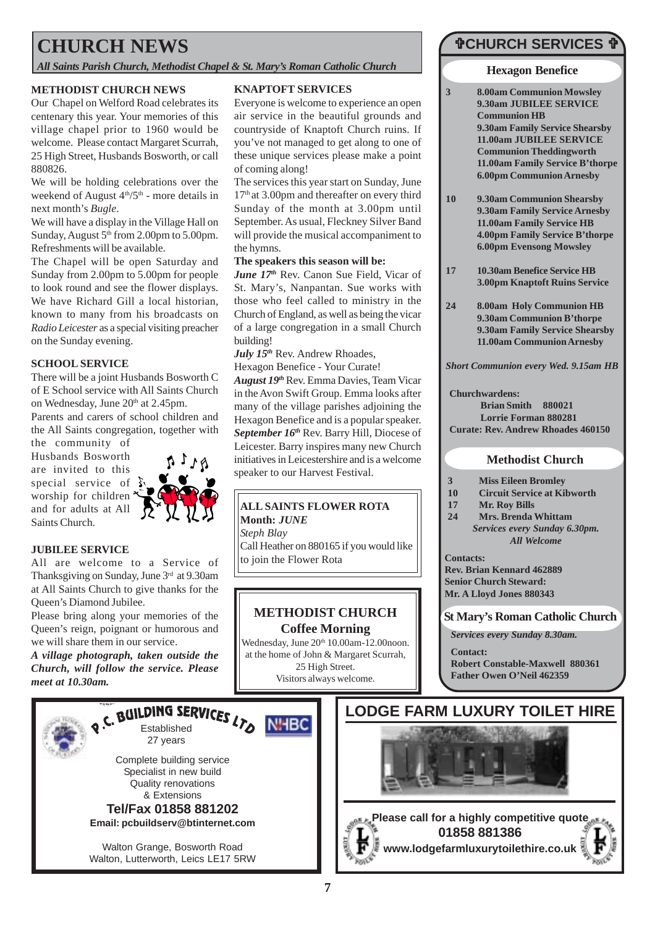## **CHURCH NEWS**

*All Saints Parish Church, Methodist Chapel & St. Mary's Roman Catholic Church*

#### **METHODIST CHURCH NEWS**

Our Chapel on Welford Road celebrates its centenary this year. Your memories of this village chapel prior to 1960 would be welcome. Please contact Margaret Scurrah, 25 High Street, Husbands Bosworth, or call 880826.

We will be holding celebrations over the weekend of August  $4<sup>th</sup>/5<sup>th</sup>$  - more details in next month's *Bugle*.

We will have a display in the Village Hall on Sunday, August  $5<sup>th</sup>$  from 2.00pm to 5.00pm. Refreshments will be available.

The Chapel will be open Saturday and Sunday from 2.00pm to 5.00pm for people to look round and see the flower displays. We have Richard Gill a local historian, known to many from his broadcasts on *Radio Leicester* as a special visiting preacher on the Sunday evening.

#### **SCHOOL SERVICE**

There will be a joint Husbands Bosworth C of E School service with All Saints Church on Wednesday, June 20<sup>th</sup> at 2.45pm.

Parents and carers of school children and the All Saints congregation, together with the community of

Husbands Bosworth are invited to this special service of  $\S$ worship for children and for adults at All Saints Church.



#### **JUBILEE SERVICE**

All are welcome to a Service of Thanksgiving on Sunday, June 3rd at 9.30am at All Saints Church to give thanks for the Queen's Diamond Jubilee.

Please bring along your memories of the Queen's reign, poignant or humorous and we will share them in our service.

*A village photograph, taken outside the Church, will follow the service. Please meet at 10.30am.*



#### **KNAPTOFT SERVICES**

Everyone is welcome to experience an open air service in the beautiful grounds and countryside of Knaptoft Church ruins. If you've not managed to get along to one of these unique services please make a point of coming along!

The services this year start on Sunday, June 17<sup>th</sup> at 3.00pm and thereafter on every third Sunday of the month at 3.00pm until September. As usual, Fleckney Silver Band will provide the musical accompaniment to the hymns.

#### **The speakers this season will be:**

*June 17th* Rev. Canon Sue Field, Vicar of St. Mary's, Nanpantan. Sue works with those who feel called to ministry in the Church of England, as well as being the vicar of a large congregation in a small Church building!

*July 15th* Rev. Andrew Rhoades,

Hexagon Benefice - Your Curate!

*August 19th* Rev. Emma Davies, Team Vicar in the Avon Swift Group. Emma looks after many of the village parishes adjoining the Hexagon Benefice and is a popular speaker. *September 16th* Rev. Barry Hill, Diocese of Leicester. Barry inspires many new Church initiatives in Leicestershire and is a welcome speaker to our Harvest Festival.

#### **ALL SAINTS FLOWER ROTA Month:** *JUNE*

*Steph Blay*

Call Heather on 880165 if you would like to join the Flower Rota

#### **METHODIST CHURCH Coffee Morning**

Wednesday, June 20<sup>th</sup> 10.00am-12.00noon. at the home of John & Margaret Scurrah, 25 High Street. Visitors always welcome.



#### **Hexagon Benefice**

**3 8.00am Communion Mowsley 9.30am JUBILEE SERVICE Communion HB 9.30am Family Service Shearsby 11.00am JUBILEE SERVICE Communion Theddingworth 11.00am Family Service B'thorpe 6.00pm Communion Arnesby**

- **10 9.30am Communion Shearsby 9.30am Family Service Arnesby 11.00am Family Service HB 4.00pm Family Service B'thorpe 6.00pm Evensong Mowsley**
- **17 10.30am Benefice Service HB 3.00pm Knaptoft Ruins Service**
- **24 8.00am Holy Communion HB 9.30am Communion B'thorpe 9.30am Family Service Shearsby 11.00am Communion Arnesby**

*Short Communion every Wed. 9.15am HB*

**Churchwardens: Brian Smith 880021 Lorrie Forman 880281 Curate: Rev. Andrew Rhoades 460150**

#### **Methodist Church**

- **3 Miss Eileen Bromley**
- **10 Circuit Service at Kibworth**
- **17 Mr. Roy Bills**
- **24 Mrs. Brenda Whittam** *Services every Sunday 6.30pm. All Welcome*
- **Contacts:**

**Rev. Brian Kennard 462889 Senior Church Steward: Mr. A Lloyd Jones 880343**

#### **St Mary's Roman Catholic Church**

*Services every Sunday 8.30am.*

**Contact: Robert Constable-Maxwell 880361 Father Owen O'Neil 462359**